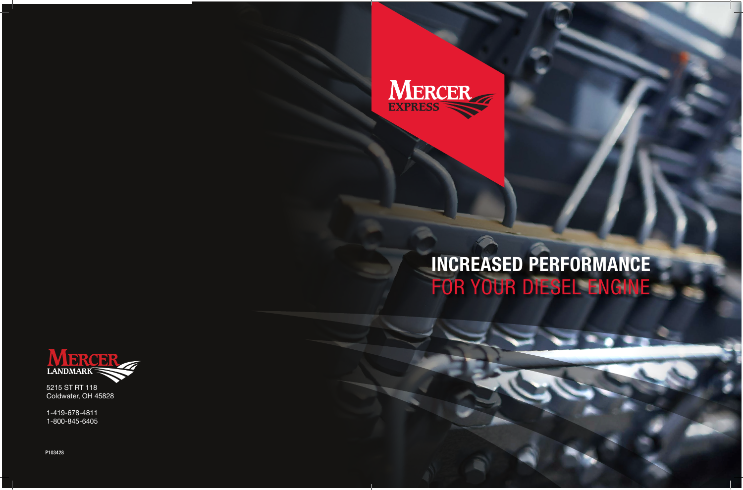P103428



## INCREASED PERFORMANCE FOR YOUR DIESEL ENGINE



5215 ST RT 118 Coldwater, OH 45828

1-419-678-4811 1-800-845-6405